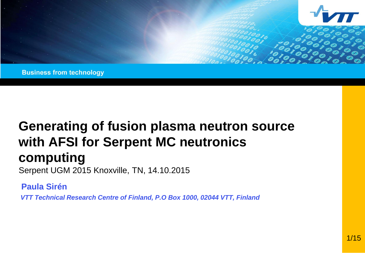

**Business from technology** 

# **Generating of fusion plasma neutron source with AFSI for Serpent MC neutronics computing**

Serpent UGM 2015 Knoxville, TN, 14.10.2015

**Paula Sirén**

*VTT Technical Research Centre of Finland, P.O Box 1000, 02044 VTT, Finland*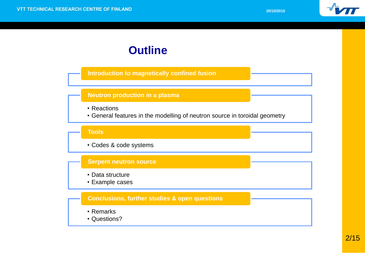

## **Outline**

**Introduction to magnetically confined fusion**

#### **Neutron production in a plasma**

- Reactions
- General features in the modelling of neutron source in toroidal geometry

#### **Tools**

• Codes & code systems

#### **Serpent neutron source**

- Data structure
- Example cases

#### **Conclusions, further studies & open questions**

- Remarks
- Questions?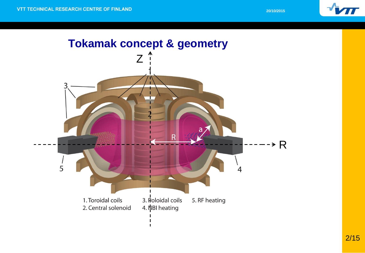

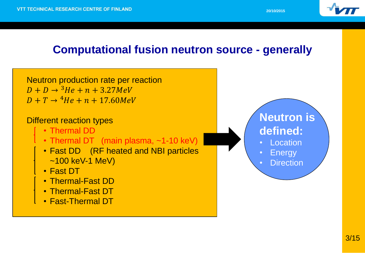

# **Computational fusion neutron source - generally**

Neutron production rate per reaction  $D + D \rightarrow {^3}He + n + 3.27MeV$  $D + T \rightarrow {}^{4}He + n + 17.60MeV$ Different reaction types • Thermal DD • Thermal DT (main plasma, ~1-10 keV) • Fast DD (RF heated and NBI particles ~100 keV-1 MeV) • Fast DT • Thermal-Fast DD • Thermal-Fast DT • Fast-Thermal DT **Neutron is defined: Location Energy Direction**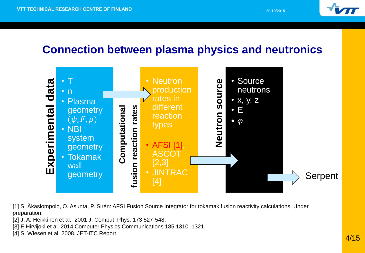

## **Connection between plasma physics and neutronics**



[1] S. Äkäslompolo, O. Asunta, P. Sirén: AFSI Fusion Source Integrator for tokamak fusion reactivity calculations. Under preparation.

[2] J. A. Heikkinen et al. 2001 J. Comput. Phys. 173 527-548.

[3] E.Hirvijoki et al. 2014 Computer Physics Communications 185 1310–1321

[4] S. Wiesen et al. 2008. JET-ITC Report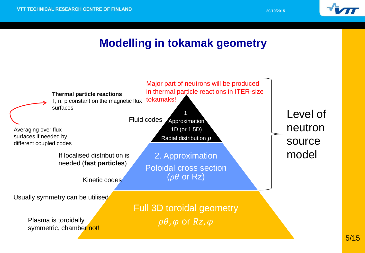

## **Modelling in tokamak geometry**

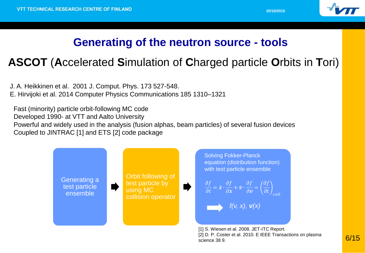

## **Generating of the neutron source - tools**

# **ASCOT** (**A**ccelerated **S**imulation of **C**harged particle **O**rbits in **T**ori)

J. A. Heikkinen et al. 2001 J. Comput. Phys. 173 527-548. E. Hirvijoki et al. 2014 Computer Physics Communications 185 1310–1321

Fast (minority) particle orbit-following MC code Developed 1990- at VTT and Aalto University Powerful and widely used in the analysis (fusion alphas, beam particles) of several fusion devices Coupled to JINTRAC [1] and ETS [2] code package



[2] D. P. Coster et al. 2010. E IEEE Transactions on plasma science 38 9.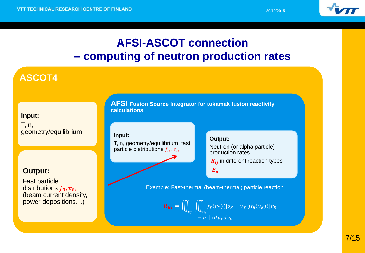

# **AFSI-ASCOT connection – computing of neutron production rates**

### **ASCOT4**

**Input:**  T, n, geometry/equilibrium

### **Output:**

Fast particle distributions  $f_B$ ,  $v_B$ , (beam current density, power depositions…)

**AFSI Fusion Source Integrator for tokamak fusion reactivity calculations**

#### **Input:**

T, n, geometry/equilibrium, fast particle distributions  $f_B$ ,  $v_B$ 

#### **Output:**

Neutron (or alpha particle) production rates

 $R_{ii}$  in different reaction types

 $E_n$ 

Example: Fast-thermal (beam-thermal) particle reaction

$$
\mathbf{R}_{BT} = \iiint_{v_T} \iiint_{v_B} f_T(v_T)(|v_B - v_T|) f_B(v_B)(|v_B - v_T|) dv_T dv_B
$$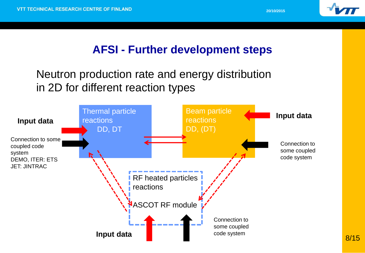

# **AFSI - Further development steps**

# Neutron production rate and energy distribution in 2D for different reaction types

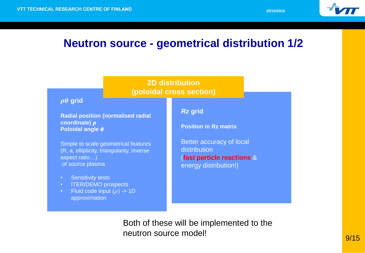

### **Neutron source - geometrical distribution 1/2**



Both of these will be implemented to the neutron source model!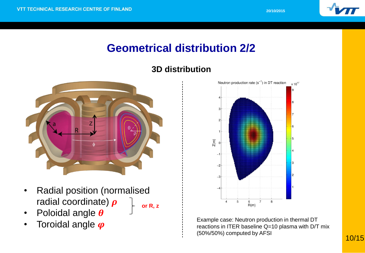

# **Geometrical distribution 2/2**

### **3D distribution**



- Radial position (normalised radial coordinate)  $\rho$ **or R, z**
- Poloidal angle  $\boldsymbol{\theta}$
- Toroidal angle  $\boldsymbol{\varphi}$



Example case: Neutron production in thermal DT reactions in ITER baseline Q=10 plasma with D/T mix (50%/50%) computed by AFSI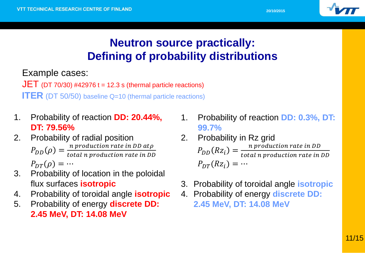

# **Neutron source practically: Defining of probability distributions**

Example cases:

 $JET$  (DT 70/30) #42976 t = 12.3 s (thermal particle reactions) **ITER** (DT 50/50) baseline Q=10 (thermal particle reactions)

- 1. Probability of reaction **DD: 20.44%, DT: 79.56%**
- 2. Probability of radial position  $P_{DD}(\rho) = \frac{n \text{ production rate in DD at } \rho}{total \text{ n production rate in DL}}$ total n production rate in DD  $P_{DT}(\rho) = \cdots$
- 3. Probability of location in the poloidal flux surfaces **isotropic**
- 4. Probability of toroidal angle **isotropic**
- 5. Probability of energy **discrete DD: 2.45 MeV, DT: 14.08 MeV**
- 1. Probability of reaction **DD: 0.3%, DT: 99.7%**
- 2. Probability in Rz grid  $P_{DD}(Rz_i) = \frac{n \text{ production rate in DD}}{total \text{ a production rate in D}}$ total n production rate in DD  $P_{DT}(Rz_i) = \cdots$
- 3. Probability of toroidal angle **isotropic**
- 4. Probability of energy **discrete DD: 2.45 MeV, DT: 14.08 MeV**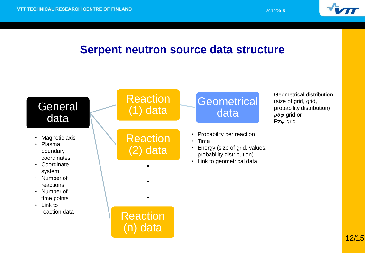

## **Serpent neutron source data structure**

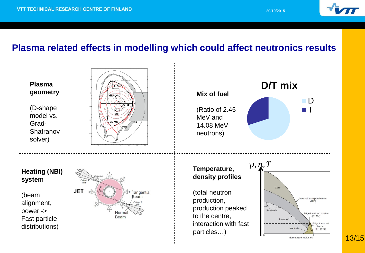

### **Plasma related effects in modelling which could affect neutronics results**



13/15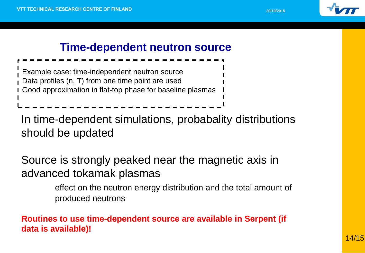

### **Time-dependent neutron source**

Example case: time-independent neutron source Data profiles (n, T) from one time point are used Good approximation in flat-top phase for baseline plasmas

In time-dependent simulations, probabality distributions should be updated

Source is strongly peaked near the magnetic axis in advanced tokamak plasmas

> effect on the neutron energy distribution and the total amount of produced neutrons

**Routines to use time-dependent source are available in Serpent (if data is available)!**